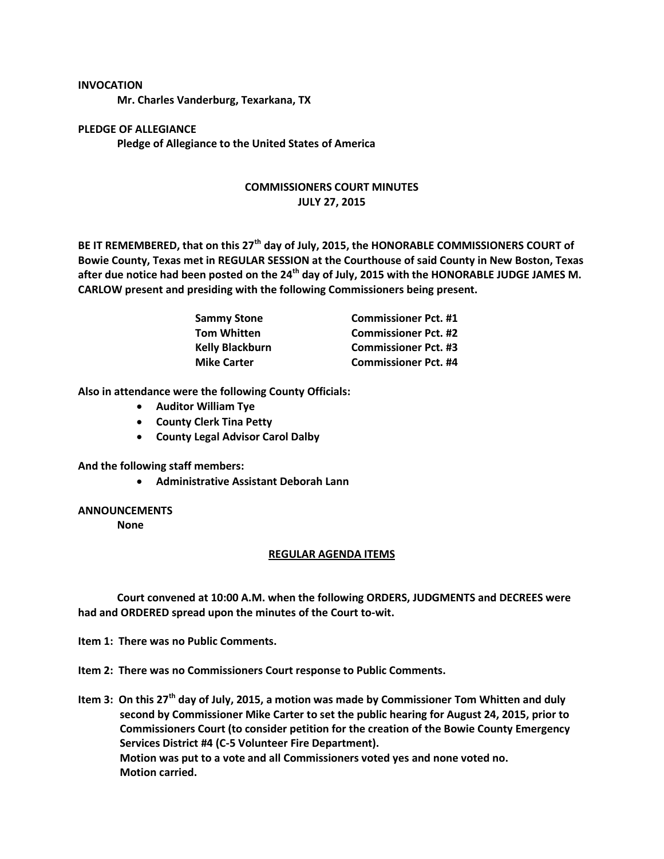## **INVOCATION**

**Mr. Charles Vanderburg, Texarkana, TX**

**PLEDGE OF ALLEGIANCE Pledge of Allegiance to the United States of America**

## **COMMISSIONERS COURT MINUTES JULY 27, 2015**

**BE IT REMEMBERED, that on this 27th day of July, 2015, the HONORABLE COMMISSIONERS COURT of Bowie County, Texas met in REGULAR SESSION at the Courthouse of said County in New Boston, Texas after due notice had been posted on the 24th day of July, 2015 with the HONORABLE JUDGE JAMES M. CARLOW present and presiding with the following Commissioners being present.**

| <b>Sammy Stone</b>     | <b>Commissioner Pct. #1</b> |
|------------------------|-----------------------------|
| <b>Tom Whitten</b>     | <b>Commissioner Pct. #2</b> |
| <b>Kelly Blackburn</b> | <b>Commissioner Pct. #3</b> |
| <b>Mike Carter</b>     | <b>Commissioner Pct. #4</b> |

**Also in attendance were the following County Officials:**

- **Auditor William Tye**
- **County Clerk Tina Petty**
- **County Legal Advisor Carol Dalby**

**And the following staff members:**

**Administrative Assistant Deborah Lann**

## **ANNOUNCEMENTS**

**None**

## **REGULAR AGENDA ITEMS**

**Court convened at 10:00 A.M. when the following ORDERS, JUDGMENTS and DECREES were had and ORDERED spread upon the minutes of the Court to-wit.**

**Item 1: There was no Public Comments.**

**Item 2: There was no Commissioners Court response to Public Comments.**

**Item 3: On this 27th day of July, 2015, a motion was made by Commissioner Tom Whitten and duly second by Commissioner Mike Carter to set the public hearing for August 24, 2015, prior to Commissioners Court (to consider petition for the creation of the Bowie County Emergency Services District #4 (C-5 Volunteer Fire Department). Motion was put to a vote and all Commissioners voted yes and none voted no. Motion carried.**